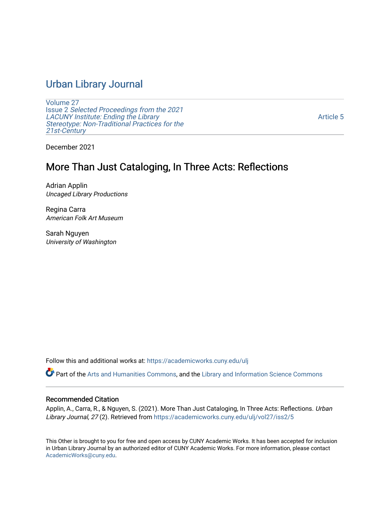# [Urban Library Journal](https://academicworks.cuny.edu/ulj)

[Volume 27](https://academicworks.cuny.edu/ulj/vol27) Issue 2 [Selected Proceedings from the 2021](https://academicworks.cuny.edu/ulj/vol27/iss2)  [LACUNY Institute: Ending the Library](https://academicworks.cuny.edu/ulj/vol27/iss2)  [Stereotype: Non-Traditional Practices for the](https://academicworks.cuny.edu/ulj/vol27/iss2)  [21st-Century](https://academicworks.cuny.edu/ulj/vol27/iss2)

[Article 5](https://academicworks.cuny.edu/ulj/vol27/iss2/5) 

December 2021

# More Than Just Cataloging, In Three Acts: Reflections

Adrian Applin Uncaged Library Productions

Regina Carra American Folk Art Museum

Sarah Nguyen University of Washington

Follow this and additional works at: [https://academicworks.cuny.edu/ulj](https://academicworks.cuny.edu/ulj?utm_source=academicworks.cuny.edu%2Fulj%2Fvol27%2Fiss2%2F5&utm_medium=PDF&utm_campaign=PDFCoverPages)

Part of the [Arts and Humanities Commons,](http://network.bepress.com/hgg/discipline/438?utm_source=academicworks.cuny.edu%2Fulj%2Fvol27%2Fiss2%2F5&utm_medium=PDF&utm_campaign=PDFCoverPages) and the [Library and Information Science Commons](http://network.bepress.com/hgg/discipline/1018?utm_source=academicworks.cuny.edu%2Fulj%2Fvol27%2Fiss2%2F5&utm_medium=PDF&utm_campaign=PDFCoverPages) 

#### Recommended Citation

Applin, A., Carra, R., & Nguyen, S. (2021). More Than Just Cataloging, In Three Acts: Reflections. Urban Library Journal, 27 (2). Retrieved from [https://academicworks.cuny.edu/ulj/vol27/iss2/5](https://academicworks.cuny.edu/ulj/vol27/iss2/5?utm_source=academicworks.cuny.edu%2Fulj%2Fvol27%2Fiss2%2F5&utm_medium=PDF&utm_campaign=PDFCoverPages)

This Other is brought to you for free and open access by CUNY Academic Works. It has been accepted for inclusion in Urban Library Journal by an authorized editor of CUNY Academic Works. For more information, please contact [AcademicWorks@cuny.edu](mailto:AcademicWorks@cuny.edu).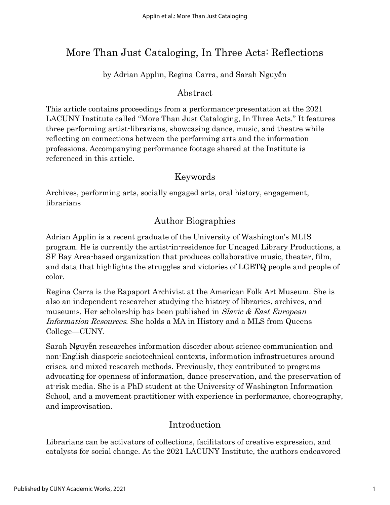# More Than Just Cataloging, In Three Acts: Reflections

by Adrian Applin, Regina Carra, and Sarah Nguyễn

# Abstract

This article contains proceedings from a performance-presentation at the 2021 LACUNY Institute called "More Than Just Cataloging, In Three Acts." It features three performing artist-librarians, showcasing dance, music, and theatre while reflecting on connections between the performing arts and the information professions. Accompanying performance footage shared at the Institute is referenced in this article.

# Keywords

Archives, performing arts, socially engaged arts, oral history, engagement, librarians

# Author Biographies

Adrian Applin is a recent graduate of the University of Washington's MLIS program. He is currently the artist-in-residence for Uncaged Library Productions, a SF Bay Area-based organization that produces collaborative music, theater, film, and data that highlights the struggles and victories of LGBTQ people and people of color.

Regina Carra is the Rapaport Archivist at the American Folk Art Museum. She is also an independent researcher studying the history of libraries, archives, and museums. Her scholarship has been published in *Slavic & East European* Information Resources. She holds a MA in History and a MLS from Queens College—CUNY.

Sarah Nguyễn researches information disorder about science communication and non-English diasporic sociotechnical contexts, information infrastructures around crises, and mixed research methods. Previously, they contributed to programs advocating for openness of information, dance preservation, and the preservation of at-risk media. She is a PhD student at the University of Washington Information School, and a movement practitioner with experience in performance, choreography, and improvisation.

# Introduction

Librarians can be activators of collections, facilitators of creative expression, and catalysts for social change. At the 2021 LACUNY Institute, the authors endeavored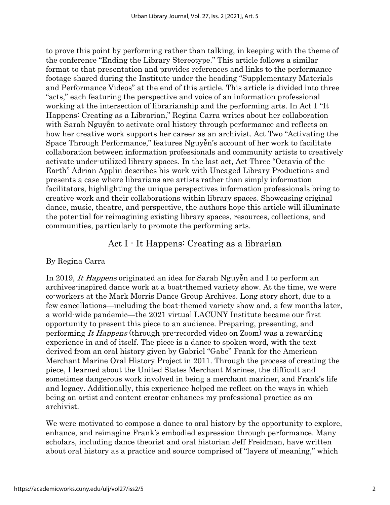to prove this point by performing rather than talking, in keeping with the theme of the conference "Ending the Library Stereotype." This article follows a similar format to that presentation and provides references and links to the performance footage shared during the Institute under the heading "Supplementary Materials and Performance Videos" at the end of this article. This article is divided into three "acts," each featuring the perspective and voice of an information professional working at the intersection of librarianship and the performing arts. In Act 1 "It Happens: Creating as a Librarian," Regina Carra writes about her collaboration with Sarah Nguyễn to activate oral history through performance and reflects on how her creative work supports her career as an archivist. Act Two "Activating the Space Through Performance," features Nguyễn's account of her work to facilitate collaboration between information professionals and community artists to creatively activate under-utilized library spaces. In the last act, Act Three "Octavia of the Earth" Adrian Applin describes his work with Uncaged Library Productions and presents a case where librarians are artists rather than simply information facilitators, highlighting the unique perspectives information professionals bring to creative work and their collaborations within library spaces. Showcasing original dance, music, theatre, and perspective, the authors hope this article will illuminate the potential for reimagining existing library spaces, resources, collections, and communities, particularly to promote the performing arts.

## Act I - It Happens: Creating as a librarian

### By Regina Carra

In 2019, It Happens originated an idea for Sarah Nguyễn and I to perform an archives-inspired dance work at a boat-themed variety show. At the time, we were co-workers at the Mark Morris Dance Group Archives. Long story short, due to a few cancellations—including the boat-themed variety show and, a few months later, a world-wide pandemic—the 2021 virtual LACUNY Institute became our first opportunity to present this piece to an audience. Preparing, presenting, and performing It Happens (through pre-recorded video on Zoom) was a rewarding experience in and of itself. The piece is a dance to spoken word, with the text derived from an oral history given by Gabriel "Gabe" Frank for the American Merchant Marine Oral History Project in 2011. Through the process of creating the piece, I learned about the United States Merchant Marines, the difficult and sometimes dangerous work involved in being a merchant mariner, and Frank's life and legacy. Additionally, this experience helped me reflect on the ways in which being an artist and content creator enhances my professional practice as an archivist.

We were motivated to compose a dance to oral history by the opportunity to explore, enhance, and reimagine Frank's embodied expression through performance. Many scholars, including dance theorist and oral historian Jeff Freidman, have written about oral history as a practice and source comprised of "layers of meaning," which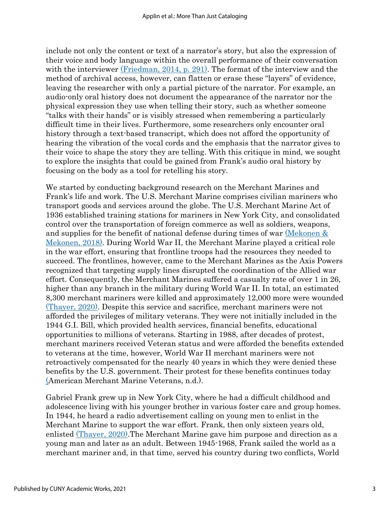include not only the content or text of a narrator's story, but also the expression of their voice and body language within the overall performance of their conversation with the interviewer [\(Friedman, 2014, p. 291\).](https://www.zotero.org/google-docs/?vksI4B) The format of the interview and the method of archival access, however, can flatten or erase these "layers" of evidence, leaving the researcher with only a partial picture of the narrator. For example, an audio-only oral history does not document the appearance of the narrator nor the physical expression they use when telling their story, such as whether someone "talks with their hands" or is visibly stressed when remembering a particularly difficult time in their lives. Furthermore, some researchers only encounter oral history through a text-based transcript, which does not afford the opportunity of hearing the vibration of the vocal cords and the emphasis that the narrator gives to their voice to shape the story they are telling. With this critique in mind, we sought to explore the insights that could be gained from Frank's audio oral history by focusing on the body as a tool for retelling his story.

We started by conducting background research on the Merchant Marines and Frank's life and work. The U.S. Merchant Marine comprises civilian mariners who transport goods and services around the globe. The U.S. Merchant Marine Act of 1936 established training stations for mariners in New York City, and consolidated control over the transportation of foreign commerce as well as soldiers, weapons, and supplies for the benefit of national defense during times of war [\(Mekonen &](https://www.zotero.org/google-docs/?qVgaa4)  [Mekonen, 2018\).](https://www.zotero.org/google-docs/?qVgaa4) During World War II, the Merchant Marine played a critical role in the war effort, ensuring that frontline troops had the resources they needed to succeed. The frontlines, however, came to the Merchant Marines as the Axis Powers recognized that targeting supply lines disrupted the coordination of the Allied war effort. Consequently, the Merchant Marines suffered a casualty rate of over 1 in 26, higher than any branch in the military during World War II. In total, an estimated 8,300 merchant mariners were killed and approximately 12,000 more were wounded [\(Thayer, 2020\).](https://www.zotero.org/google-docs/?MP9z9t) Despite this service and sacrifice, merchant mariners were not afforded the privileges of military veterans. They were not initially included in the 1944 G.I. Bill, which provided health services, financial benefits, educational opportunities to millions of veterans. Starting in 1988, after decades of protest, merchant mariners received Veteran status and were afforded the benefits extended to veterans at the time, however, World War II merchant mariners were not retroactively compensated for the nearly 40 years in which they were denied these benefits by the U.S. government. Their protest for these benefits continues today [\(A](https://www.zotero.org/google-docs/?NsCSJE)merican Merchant Marine Veterans, n.d.).

Gabriel Frank grew up in New York City, where he had a difficult childhood and adolescence living with his younger brother in various foster care and group homes. In 1944, he heard a radio advertisement calling on young men to enlist in the Merchant Marine to support the war effort. Frank, then only sixteen years old, enlisted [\(Thayer, 2020\).](https://www.zotero.org/google-docs/?iQb3X3) The Merchant Marine gave him purpose and direction as a young man and later as an adult. Between 1945-1968, Frank sailed the world as a merchant mariner and, in that time, served his country during two conflicts, World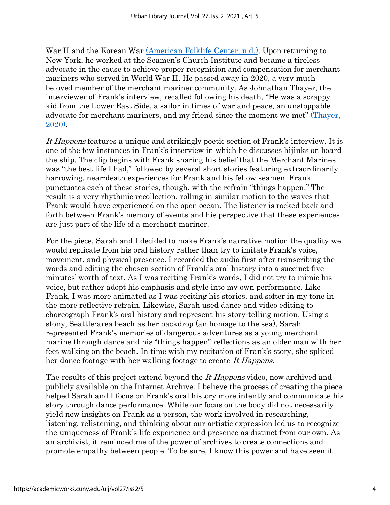War II and the Korean War [\(American Folklife Center, n.d.\).](https://www.zotero.org/google-docs/?hbkGL3) Upon returning to New York, he worked at the Seamen's Church Institute and became a tireless advocate in the cause to achieve proper recognition and compensation for merchant mariners who served in World War II. He passed away in 2020, a very much beloved member of the merchant mariner community. As Johnathan Thayer, the interviewer of Frank's interview, recalled following his death, "He was a scrappy kid from the Lower East Side, a sailor in times of war and peace, an unstoppable advocate for merchant mariners, and my friend since the moment we met" *(Thayer,* [2020\).](https://www.zotero.org/google-docs/?xK6vjL)

It Happens features a unique and strikingly poetic section of Frank's interview. It is one of the few instances in Frank's interview in which he discusses hijinks on board the ship. The clip begins with Frank sharing his belief that the Merchant Marines was "the best life I had," followed by several short stories featuring extraordinarily harrowing, near-death experiences for Frank and his fellow seamen. Frank punctuates each of these stories, though, with the refrain "things happen." The result is a very rhythmic recollection, rolling in similar motion to the waves that Frank would have experienced on the open ocean. The listener is rocked back and forth between Frank's memory of events and his perspective that these experiences are just part of the life of a merchant mariner.

For the piece, Sarah and I decided to make Frank's narrative motion the quality we would replicate from his oral history rather than try to imitate Frank's voice, movement, and physical presence. I recorded the audio first after transcribing the words and editing the chosen section of Frank's oral history into a succinct five minutes' worth of text. As I was reciting Frank's words, I did not try to mimic his voice, but rather adopt his emphasis and style into my own performance. Like Frank, I was more animated as I was reciting his stories, and softer in my tone in the more reflective refrain. Likewise, Sarah used dance and video editing to choreograph Frank's oral history and represent his story-telling motion. Using a stony, Seattle-area beach as her backdrop (an homage to the sea), Sarah represented Frank's memories of dangerous adventures as a young merchant marine through dance and his "things happen" reflections as an older man with her feet walking on the beach. In time with my recitation of Frank's story, she spliced her dance footage with her walking footage to create It Happens.

The results of this project extend beyond the *It Happens* video, now archived and publicly available on the Internet Archive. I believe the process of creating the piece helped Sarah and I focus on Frank's oral history more intently and communicate his story through dance performance. While our focus on the body did not necessarily yield new insights on Frank as a person, the work involved in researching, listening, relistening, and thinking about our artistic expression led us to recognize the uniqueness of Frank's life experience and presence as distinct from our own. As an archivist, it reminded me of the power of archives to create connections and promote empathy between people. To be sure, I know this power and have seen it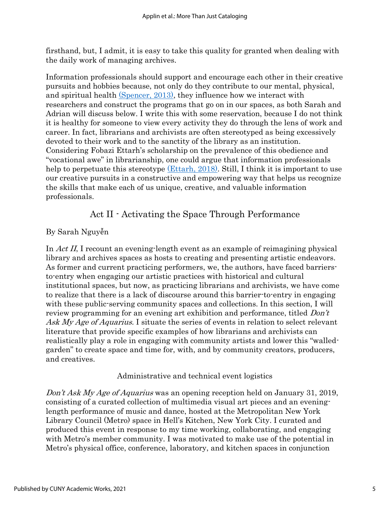firsthand, but, I admit, it is easy to take this quality for granted when dealing with the daily work of managing archives.

Information professionals should support and encourage each other in their creative pursuits and hobbies because, not only do they contribute to our mental, physical, and spiritual health [\(Spencer, 2013\),](https://www.zotero.org/google-docs/?ebDf5j) they influence how we interact with researchers and construct the programs that go on in our spaces, as both Sarah and Adrian will discuss below. I write this with some reservation, because I do not think it is healthy for someone to view every activity they do through the lens of work and career. In fact, librarians and archivists are often stereotyped as being excessively devoted to their work and to the sanctity of the library as an institution. Considering Fobazi Ettarh's scholarship on the prevalence of this obedience and "vocational awe" in librarianship, one could argue that information professionals help to perpetuate this stereotype [\(Ettarh,](https://www.zotero.org/google-docs/?PwXxOH) 2018). Still, I think it is important to use our creative pursuits in a constructive and empowering way that helps us recognize the skills that make each of us unique, creative, and valuable information professionals.

## Act II - Activating the Space Through Performance

### By Sarah Nguyễn

In Act II, I recount an evening-length event as an example of reimagining physical library and archives spaces as hosts to creating and presenting artistic endeavors. As former and current practicing performers, we, the authors, have faced barriersto-entry when engaging our artistic practices with historical and cultural institutional spaces, but now, as practicing librarians and archivists, we have come to realize that there is a lack of discourse around this barrier-to-entry in engaging with these public-serving community spaces and collections. In this section, I will review programming for an evening art exhibition and performance, titled *Don't* Ask My Age of Aquarius. I situate the series of events in relation to select relevant literature that provide specific examples of how librarians and archivists can realistically play a role in engaging with community artists and lower this "walledgarden" to create space and time for, with, and by community creators, producers, and creatives.

Administrative and technical event logistics

Don't Ask My Age of Aquarius was an opening reception held on January 31, 2019, consisting of a curated collection of multimedia visual art pieces and an eveninglength performance of music and dance, hosted at the Metropolitan New York Library Council (Metro) space in Hell's Kitchen, New York City. I curated and produced this event in response to my time working, collaborating, and engaging with Metro's member community. I was motivated to make use of the potential in Metro's physical office, conference, laboratory, and kitchen spaces in conjunction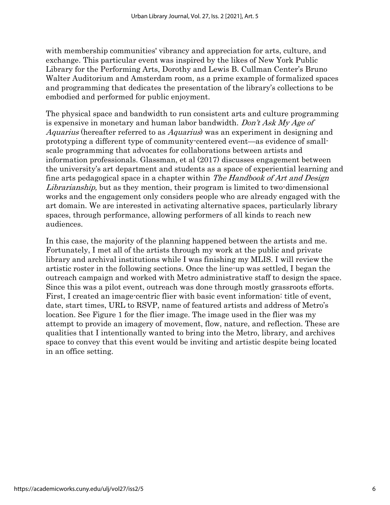with membership communities' vibrancy and appreciation for arts, culture, and exchange. This particular event was inspired by the likes of New York Public Library for the Performing Arts, Dorothy and Lewis B. Cullman Center's Bruno Walter Auditorium and Amsterdam room, as a prime example of formalized spaces and programming that dedicates the presentation of the library's collections to be embodied and performed for public enjoyment.

The physical space and bandwidth to run consistent arts and culture programming is expensive in monetary and human labor bandwidth. Don't Ask My Age of Aquarius (hereafter referred to as Aquarius) was an experiment in designing and prototyping a different type of community-centered event—as evidence of smallscale programming that advocates for collaborations between artists and information professionals. Glassman, et al (2017) discusses engagement between the university's art department and students as a space of experiential learning and fine arts pedagogical space in a chapter within The Handbook of Art and Design Librarianship, but as they mention, their program is limited to two-dimensional works and the engagement only considers people who are already engaged with the art domain. We are interested in activating alternative spaces, particularly library spaces, through performance, allowing performers of all kinds to reach new audiences.

In this case, the majority of the planning happened between the artists and me. Fortunately, I met all of the artists through my work at the public and private library and archival institutions while I was finishing my MLIS. I will review the artistic roster in the following sections. Once the line-up was settled, I began the outreach campaign and worked with Metro administrative staff to design the space. Since this was a pilot event, outreach was done through mostly grassroots efforts. First, I created an image-centric flier with basic event information: title of event, date, start times, URL to RSVP, name of featured artists and address of Metro's location. See Figure 1 for the flier image. The image used in the flier was my attempt to provide an imagery of movement, flow, nature, and reflection. These are qualities that I intentionally wanted to bring into the Metro, library, and archives space to convey that this event would be inviting and artistic despite being located in an office setting.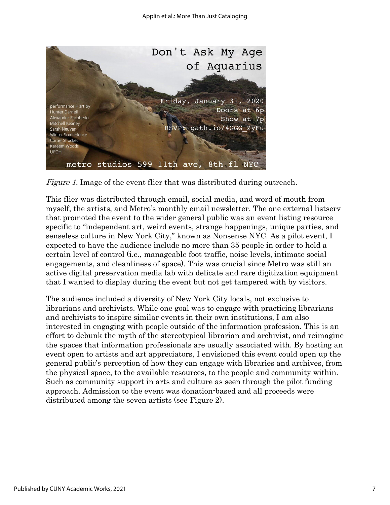

Figure 1. Image of the event flier that was distributed during outreach.

This flier was distributed through email, social media, and word of mouth from myself, the artists, and Metro's monthly email newsletter. The one external listserv that promoted the event to the wider general public was an event listing resource specific to "independent art, weird events, strange happenings, unique parties, and senseless culture in New York City," known as Nonsense NYC. As a pilot event, I expected to have the audience include no more than 35 people in order to hold a certain level of control (i.e., manageable foot traffic, noise levels, intimate social engagements, and cleanliness of space). This was crucial since Metro was still an active digital preservation media lab with delicate and rare digitization equipment that I wanted to display during the event but not get tampered with by visitors.

The audience included a diversity of New York City locals, not exclusive to librarians and archivists. While one goal was to engage with practicing librarians and archivists to inspire similar events in their own institutions, I am also interested in engaging with people outside of the information profession. This is an effort to debunk the myth of the stereotypical librarian and archivist, and reimagine the spaces that information professionals are usually associated with. By hosting an event open to artists and art appreciators, I envisioned this event could open up the general public's perception of how they can engage with libraries and archives, from the physical space, to the available resources, to the people and community within. Such as community support in arts and culture as seen through the pilot funding approach. Admission to the event was donation-based and all proceeds were distributed among the seven artists (see Figure 2).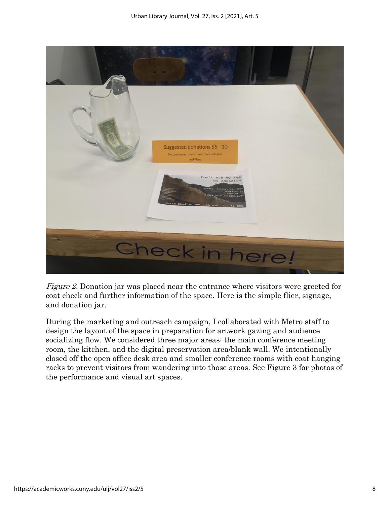

Figure 2. Donation jar was placed near the entrance where visitors were greeted for coat check and further information of the space. Here is the simple flier, signage, and donation jar.

During the marketing and outreach campaign, I collaborated with Metro staff to design the layout of the space in preparation for artwork gazing and audience socializing flow. We considered three major areas: the main conference meeting room, the kitchen, and the digital preservation area/blank wall. We intentionally closed off the open office desk area and smaller conference rooms with coat hanging racks to prevent visitors from wandering into those areas. See Figure 3 for photos of the performance and visual art spaces.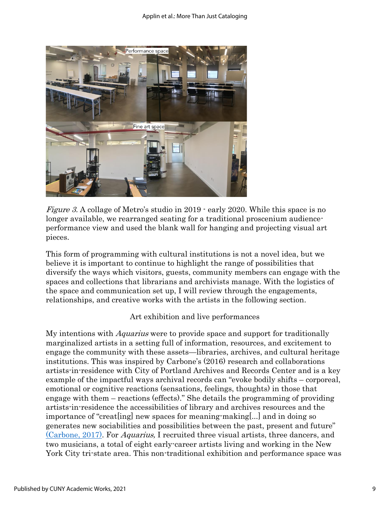

Figure 3. A collage of Metro's studio in 2019 - early 2020. While this space is no longer available, we rearranged seating for a traditional proscenium audienceperformance view and used the blank wall for hanging and projecting visual art pieces.

This form of programming with cultural institutions is not a novel idea, but we believe it is important to continue to highlight the range of possibilities that diversify the ways which visitors, guests, community members can engage with the spaces and collections that librarians and archivists manage. With the logistics of the space and communication set up, I will review through the engagements, relationships, and creative works with the artists in the following section.

#### Art exhibition and live performances

My intentions with *Aquarius* were to provide space and support for traditionally marginalized artists in a setting full of information, resources, and excitement to engage the community with these assets—libraries, archives, and cultural heritage institutions. This was inspired by Carbone's (2016) research and collaborations artists-in-residence with City of Portland Archives and Records Center and is a key example of the impactful ways archival records can "evoke bodily shifts – corporeal, emotional or cognitive reactions (sensations, feelings, thoughts) in those that engage with them – reactions (effects)." She details the programming of providing artists-in-residence the accessibilities of library and archives resources and the importance of "creat[ing] new spaces for meaning-making[...] and in doing so generates new sociabilities and possibilities between the past, present and future" [\(Carbone, 2017\).](https://www.zotero.org/google-docs/?YbaIji) For Aquarius, I recruited three visual artists, three dancers, and two musicians, a total of eight early-career artists living and working in the New York City tri-state area. This non-traditional exhibition and performance space was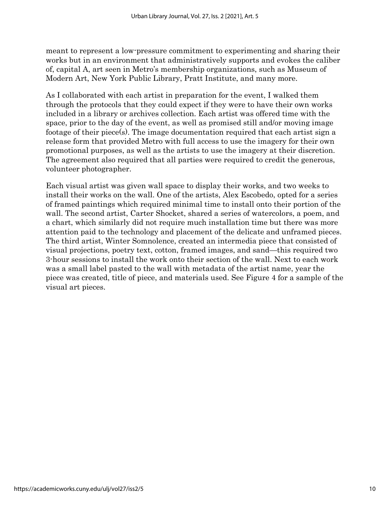meant to represent a low-pressure commitment to experimenting and sharing their works but in an environment that administratively supports and evokes the caliber of, capital A, art seen in Metro's membership organizations, such as Museum of Modern Art, New York Public Library, Pratt Institute, and many more.

As I collaborated with each artist in preparation for the event, I walked them through the protocols that they could expect if they were to have their own works included in a library or archives collection. Each artist was offered time with the space, prior to the day of the event, as well as promised still and/or moving image footage of their piece(s). The image documentation required that each artist sign a release form that provided Metro with full access to use the imagery for their own promotional purposes, as well as the artists to use the imagery at their discretion. The agreement also required that all parties were required to credit the generous, volunteer photographer.

Each visual artist was given wall space to display their works, and two weeks to install their works on the wall. One of the artists, Alex Escobedo, opted for a series of framed paintings which required minimal time to install onto their portion of the wall. The second artist, Carter Shocket, shared a series of watercolors, a poem, and a chart, which similarly did not require much installation time but there was more attention paid to the technology and placement of the delicate and unframed pieces. The third artist, Winter Somnolence, created an intermedia piece that consisted of visual projections, poetry text, cotton, framed images, and sand—this required two 3-hour sessions to install the work onto their section of the wall. Next to each work was a small label pasted to the wall with metadata of the artist name, year the piece was created, title of piece, and materials used. See Figure 4 for a sample of the visual art pieces.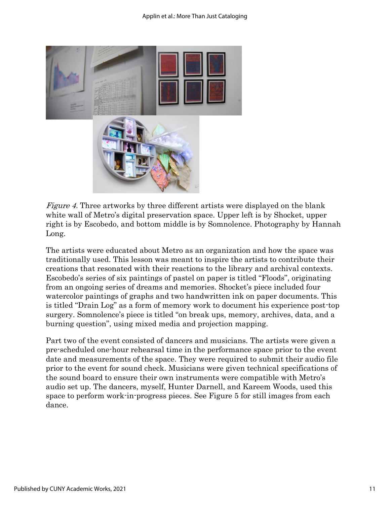

Figure 4. Three artworks by three different artists were displayed on the blank white wall of Metro's digital preservation space. Upper left is by Shocket, upper right is by Escobedo, and bottom middle is by Somnolence. Photography by Hannah Long.

The artists were educated about Metro as an organization and how the space was traditionally used. This lesson was meant to inspire the artists to contribute their creations that resonated with their reactions to the library and archival contexts. Escobedo's series of six paintings of pastel on paper is titled "Floods", originating from an ongoing series of dreams and memories. Shocket's piece included four watercolor paintings of graphs and two handwritten ink on paper documents. This is titled "Drain Log" as a form of memory work to document his experience post-top surgery. Somnolence's piece is titled "on break ups, memory, archives, data, and a burning question", using mixed media and projection mapping.

Part two of the event consisted of dancers and musicians. The artists were given a pre-scheduled one-hour rehearsal time in the performance space prior to the event date and measurements of the space. They were required to submit their audio file prior to the event for sound check. Musicians were given technical specifications of the sound board to ensure their own instruments were compatible with Metro's audio set up. The dancers, myself, Hunter Darnell, and Kareem Woods, used this space to perform work-in-progress pieces. See Figure 5 for still images from each dance.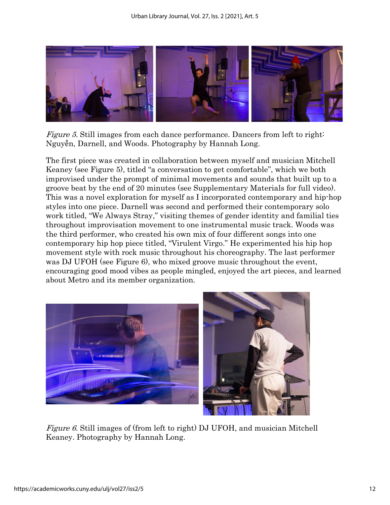

*Figure 5.* Still images from each dance performance. Dancers from left to right: Nguyễn, Darnell, and Woods. Photography by Hannah Long.

The first piece was created in collaboration between myself and musician Mitchell Keaney (see Figure 5), titled "a conversation to get comfortable", which we both improvised under the prompt of minimal movements and sounds that built up to a groove beat by the end of 20 minutes (see Supplementary Materials for full video). This was a novel exploration for myself as I incorporated contemporary and hip-hop styles into one piece. Darnell was second and performed their contemporary solo work titled, "We Always Stray," visiting themes of gender identity and familial ties throughout improvisation movement to one instrumental music track. Woods was the third performer, who created his own mix of four different songs into one contemporary hip hop piece titled, "Virulent Virgo." He experimented his hip hop movement style with rock music throughout his choreography. The last performer was DJ UFOH (see Figure 6), who mixed groove music throughout the event, encouraging good mood vibes as people mingled, enjoyed the art pieces, and learned about Metro and its member organization.



Figure 6. Still images of (from left to right) DJ UFOH, and musician Mitchell Keaney. Photography by Hannah Long.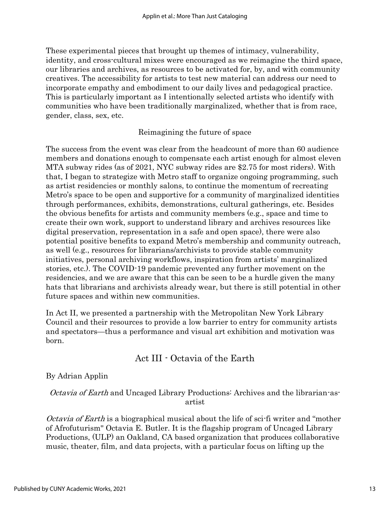These experimental pieces that brought up themes of intimacy, vulnerability, identity, and cross-cultural mixes were encouraged as we reimagine the third space, our libraries and archives, as resources to be activated for, by, and with community creatives. The accessibility for artists to test new material can address our need to incorporate empathy and embodiment to our daily lives and pedagogical practice. This is particularly important as I intentionally selected artists who identify with communities who have been traditionally marginalized, whether that is from race, gender, class, sex, etc.

#### Reimagining the future of space

The success from the event was clear from the headcount of more than 60 audience members and donations enough to compensate each artist enough for almost eleven MTA subway rides (as of 2021, NYC subway rides are \$2.75 for most riders). With that, I began to strategize with Metro staff to organize ongoing programming, such as artist residencies or monthly salons, to continue the momentum of recreating Metro's space to be open and supportive for a community of marginalized identities through performances, exhibits, demonstrations, cultural gatherings, etc. Besides the obvious benefits for artists and community members (e.g., space and time to create their own work, support to understand library and archives resources like digital preservation, representation in a safe and open space), there were also potential positive benefits to expand Metro's membership and community outreach, as well (e.g., resources for librarians/archivists to provide stable community initiatives, personal archiving workflows, inspiration from artists' marginalized stories, etc.). The COVID-19 pandemic prevented any further movement on the residencies, and we are aware that this can be seen to be a hurdle given the many hats that librarians and archivists already wear, but there is still potential in other future spaces and within new communities.

In Act II, we presented a partnership with the Metropolitan New York Library Council and their resources to provide a low barrier to entry for community artists and spectators—thus a performance and visual art exhibition and motivation was born.

### Act III - Octavia of the Earth

By Adrian Applin

*Octavia of Earth* and Uncaged Library Productions: Archives and the librarian-asartist

*Octavia of Earth* is a biographical musical about the life of sci-fi writer and "mother" of Afrofuturism'' Octavia E. Butler. It is the flagship program of Uncaged Library Productions, (ULP) an Oakland, CA based organization that produces collaborative music, theater, film, and data projects, with a particular focus on lifting up the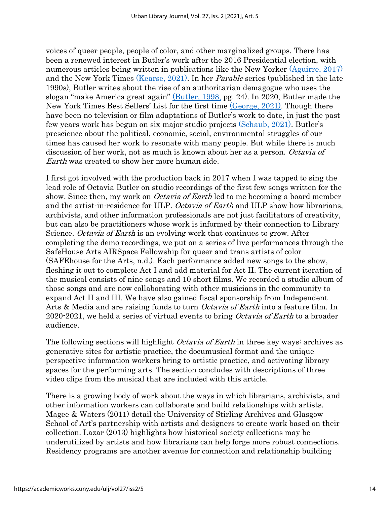voices of queer people, people of color, and other marginalized groups. There has been a renewed interest in Butler's work after the 2016 Presidential election, with numerous articles being written in publications like the New Yorker [\(Aguirre, 2017\)](https://www.zotero.org/google-docs/?PE3RGs) and the New York Times [\(Kearse, 2021\).](https://www.zotero.org/google-docs/?qutMEN) In her Parable series (published in the late 1990s), Butler writes about the rise of an authoritarian demagogue who uses the slogan "make America great again" [\(Butler, 1998,](https://www.zotero.org/google-docs/?vVWq3S) pg. 24). In 2020, Butler made the New York Times Best Sellers' List for the first time [\(George, 2021\).](https://www.zotero.org/google-docs/?ikDlCM) Though there have been no television or film adaptations of Butler's work to date, in just the past few years work has begun on six major studio projects [\(Schaub, 2021\)](https://www.zotero.org/google-docs/?6uyF3c). Butler's prescience about the political, economic, social, environmental struggles of our times has caused her work to resonate with many people. But while there is much discussion of her work, not as much is known about her as a person. Octavia of Earth was created to show her more human side.

I first got involved with the production back in 2017 when I was tapped to sing the lead role of Octavia Butler on studio recordings of the first few songs written for the show. Since then, my work on *Octavia of Earth* led to me becoming a board member and the artist-in-residence for ULP. Octavia of Earth and ULP show how librarians, archivists, and other information professionals are not just facilitators of creativity, but can also be practitioners whose work is informed by their connection to Library Science. *Octavia of Earth* is an evolving work that continues to grow. After completing the demo recordings, we put on a series of live performances through the SafeHouse Arts AIRSpace Fellowship for queer and trans artists of color (SAFEhouse for the Arts, n.d.). Each performance added new songs to the show, fleshing it out to complete Act I and add material for Act II. The current iteration of the musical consists of nine songs and 10 short films. We recorded a studio album of those songs and are now collaborating with other musicians in the community to expand Act II and III. We have also gained fiscal sponsorship from Independent Arts & Media and are raising funds to turn *Octavia of Earth* into a feature film. In 2020-2021, we held a series of virtual events to bring *Octavia of Earth* to a broader audience.

The following sections will highlight *Octavia of Earth* in three key ways: archives as generative sites for artistic practice, the documusical format and the unique perspective information workers bring to artistic practice, and activating library spaces for the performing arts. The section concludes with descriptions of three video clips from the musical that are included with this article.

There is a growing body of work about the ways in which librarians, archivists, and other information workers can collaborate and build relationships with artists. Magee & Waters (2011) detail the University of Stirling Archives and Glasgow School of Art's partnership with artists and designers to create work based on their collection. Lazar (2013) highlights how historical society collections may be underutilized by artists and how librarians can help forge more robust connections. Residency programs are another avenue for connection and relationship building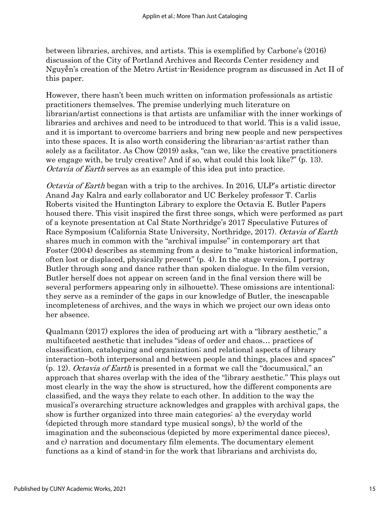between libraries, archives, and artists. This is exemplified by Carbone's (2016) discussion of the City of Portland Archives and Records Center residency and Nguyễn's creation of the Metro Artist-in-Residence program as discussed in Act II of this paper.

However, there hasn't been much written on information professionals as artistic practitioners themselves. The premise underlying much literature on librarian/artist connections is that artists are unfamiliar with the inner workings of libraries and archives and need to be introduced to that world. This is a valid issue, and it is important to overcome barriers and bring new people and new perspectives into these spaces. It is also worth considering the librarian-as-artist rather than solely as a facilitator. As Chow (2019) asks, "can we, like the creative practitioners we engage with, be truly creative? And if so, what could this look like?" (p. 13). Octavia of Earth serves as an example of this idea put into practice.

Octavia of Earth began with a trip to the archives. In 2016, ULP's artistic director Anand Jay Kalra and early collaborator and UC Berkeley professor T. Carlis Roberts visited the Huntington Library to explore the Octavia E. Butler Papers housed there. This visit inspired the first three songs, which were performed as part of a keynote presentation at Cal State Northridge's 2017 Speculative Futures of Race Symposium (California State University, Northridge, 2017). Octavia of Earth shares much in common with the "archival impulse" in contemporary art that Foster (2004) describes as stemming from a desire to "make historical information, often lost or displaced, physically present" (p. 4). In the stage version, I portray Butler through song and dance rather than spoken dialogue. In the film version, Butler herself does not appear on screen (and in the final version there will be several performers appearing only in silhouette). These omissions are intentional; they serve as a reminder of the gaps in our knowledge of Butler, the inescapable incompleteness of archives, and the ways in which we project our own ideas onto her absence.

Qualmann (2017) explores the idea of producing art with a "library aesthetic," a multifaceted aesthetic that includes "ideas of order and chaos… practices of classification, cataloguing and organization; and relational aspects of library interaction–both interpersonal and between people and things, places and spaces"  $(p. 12)$ . *Octavia of Earth* is presented in a format we call the "documusical," an approach that shares overlap with the idea of the "library aesthetic." This plays out most clearly in the way the show is structured, how the different components are classified, and the ways they relate to each other. In addition to the way the musical's overarching structure acknowledges and grapples with archival gaps, the show is further organized into three main categories: a) the everyday world (depicted through more standard type musical songs), b) the world of the imagination and the subconscious (depicted by more experimental dance pieces), and c) narration and documentary film elements. The documentary element functions as a kind of stand-in for the work that librarians and archivists do,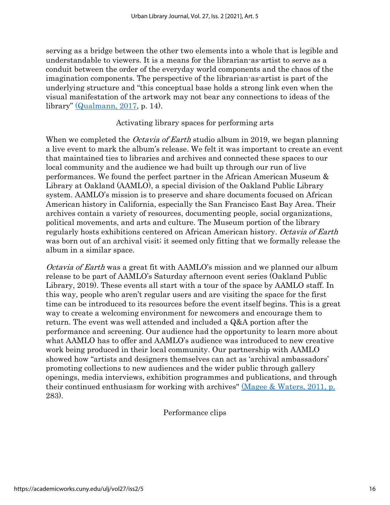serving as a bridge between the other two elements into a whole that is legible and understandable to viewers. It is a means for the librarian-as-artist to serve as a conduit between the order of the everyday world components and the chaos of the imagination components. The perspective of the librarian-as-artist is part of the underlying structure and "this conceptual base holds a strong link even when the visual manifestation of the artwork may not bear any connections to ideas of the library" [\(Qualmann, 2017,](https://www.zotero.org/google-docs/?3dYLea) p. 14).

#### Activating library spaces for performing arts

When we completed the *Octavia of Earth* studio album in 2019, we began planning a live event to mark the album's release. We felt it was important to create an event that maintained ties to libraries and archives and connected these spaces to our local community and the audience we had built up through our run of live performances. We found the perfect partner in the African American Museum & Library at Oakland (AAMLO), a special division of the Oakland Public Library system. AAMLO's mission is to preserve and share documents focused on African American history in California, especially the San Francisco East Bay Area. Their archives contain a variety of resources, documenting people, social organizations, political movements, and arts and culture. The Museum portion of the library regularly hosts exhibitions centered on African American history. Octavia of Earth was born out of an archival visit; it seemed only fitting that we formally release the album in a similar space.

Octavia of Earth was a great fit with AAMLO's mission and we planned our album release to be part of AAMLO's Saturday afternoon event series (Oakland Public Library, 2019). These events all start with a tour of the space by AAMLO staff. In this way, people who aren't regular users and are visiting the space for the first time can be introduced to its resources before the event itself begins. This is a great way to create a welcoming environment for newcomers and encourage them to return. The event was well attended and included a Q&A portion after the performance and screening. Our audience had the opportunity to learn more about what AAMLO has to offer and AAMLO's audience was introduced to new creative work being produced in their local community. Our partnership with AAMLO showed how "artists and designers themselves can act as 'archival ambassadors' promoting collections to new audiences and the wider public through gallery openings, media interviews, exhibition programmes and publications, and through their continued enthusiasm for working with archives'' [\(Magee & Waters, 2011, p.](https://www.zotero.org/google-docs/?ZdjiRB) 283).

Performance clips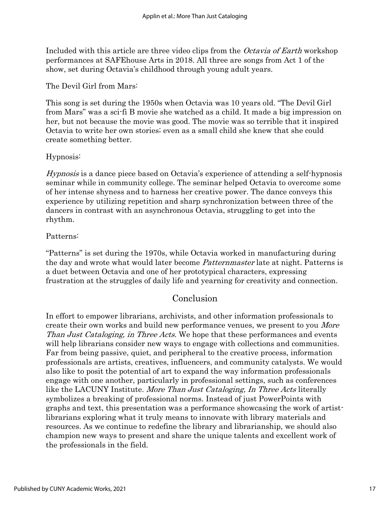Included with this article are three video clips from the Octavia of Earth workshop performances at SAFEhouse Arts in 2018. All three are songs from Act 1 of the show, set during Octavia's childhood through young adult years.

The Devil Girl from Mars:

This song is set during the 1950s when Octavia was 10 years old. "The Devil Girl from Mars" was a sci-fi B movie she watched as a child. It made a big impression on her, but not because the movie was good. The movie was so terrible that it inspired Octavia to write her own stories; even as a small child she knew that she could create something better.

### Hypnosis:

Hypnosis is a dance piece based on Octavia's experience of attending a self-hypnosis seminar while in community college. The seminar helped Octavia to overcome some of her intense shyness and to harness her creative power. The dance conveys this experience by utilizing repetition and sharp synchronization between three of the dancers in contrast with an asynchronous Octavia, struggling to get into the rhythm.

### Patterns:

"Patterns" is set during the 1970s, while Octavia worked in manufacturing during the day and wrote what would later become *Patternmaster* late at night. Patterns is a duet between Octavia and one of her prototypical characters, expressing frustration at the struggles of daily life and yearning for creativity and connection.

## Conclusion

In effort to empower librarians, archivists, and other information professionals to create their own works and build new performance venues, we present to you *More* Than Just Cataloging, in Three Acts. We hope that these performances and events will help librarians consider new ways to engage with collections and communities. Far from being passive, quiet, and peripheral to the creative process, information professionals are artists, creatives, influencers, and community catalysts. We would also like to posit the potential of art to expand the way information professionals engage with one another, particularly in professional settings, such as conferences like the LACUNY Institute. More Than Just Cataloging, In Three Acts literally symbolizes a breaking of professional norms. Instead of just PowerPoints with graphs and text, this presentation was a performance showcasing the work of artistlibrarians exploring what it truly means to innovate with library materials and resources. As we continue to redefine the library and librarianship, we should also champion new ways to present and share the unique talents and excellent work of the professionals in the field.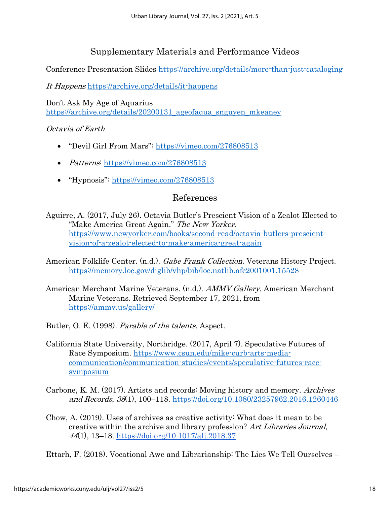# Supplementary Materials and Performance Videos

Conference Presentation Slides<https://archive.org/details/more-than-just-cataloging>

It Happens <https://archive.org/details/it-happens>

Don't Ask My Age of Aquarius https://archive.org/details/20200131 ageofaqua snguyen mkeaney

### Octavia of Earth

- "Devil Girl From Mars": <https://vimeo.com/276808513>
- *Patterns*:<https://vimeo.com/276808513>
- "Hypnosis": <https://vimeo.com/276808513>

## References

- [Aguirre, A. \(2017, July 26\). Octavia Butler's Prescient Vision of a Zealot Elected to](https://www.zotero.org/google-docs/?VbYtl5)  ["Make America Great Again."](https://www.zotero.org/google-docs/?VbYtl5) [The New Yorker](https://www.zotero.org/google-docs/?VbYtl5). [https://www.newyorker.com/books/second-read/octavia-butlers-prescient](https://www.newyorker.com/books/second-read/octavia-butlers-prescient-vision-of-a-zealot-elected-to-make-america-great-again)[vision-of-a-zealot-elected-to-make-america-great-again](https://www.newyorker.com/books/second-read/octavia-butlers-prescient-vision-of-a-zealot-elected-to-make-america-great-again)
- [American Folklife Center. \(n.d.\).](https://www.zotero.org/google-docs/?VbYtl5) [Gabe Frank Collection](https://www.zotero.org/google-docs/?VbYtl5). Veterans History Project. <https://memory.loc.gov/diglib/vhp/bib/loc.natlib.afc2001001.15528>
- [American Merchant Marine Veterans. \(n.d.\).](https://www.zotero.org/google-docs/?VbYtl5) [AMMV Gallery](https://www.zotero.org/google-docs/?VbYtl5)[. American Merchant](https://www.zotero.org/google-docs/?VbYtl5)  [Marine Veterans. Retrieved September 17, 2021, from](https://www.zotero.org/google-docs/?VbYtl5)  <https://ammv.us/gallery/>

[Butler, O. E. \(1998\).](https://www.zotero.org/google-docs/?VbYtl5) [Parable of the talents](https://www.zotero.org/google-docs/?VbYtl5)[. Aspect.](https://www.zotero.org/google-docs/?VbYtl5)

- California State University, Northridge. (2017, April 7). Speculative Futures of Race Symposium. [https://www.csun.edu/mike-curb-arts-media](https://www.csun.edu/mike-curb-arts-media-communication/communication-studies/events/speculative-futures-race-symposium)[communication/communication-studies/events/speculative-futures-race](https://www.csun.edu/mike-curb-arts-media-communication/communication-studies/events/speculative-futures-race-symposium)[symposium](https://www.csun.edu/mike-curb-arts-media-communication/communication-studies/events/speculative-futures-race-symposium)
- [Carbone, K. M. \(2017\). Artists and records: Moving history and memory.](https://www.zotero.org/google-docs/?VbYtl5) [Archives](https://www.zotero.org/google-docs/?VbYtl5)  [and Records](https://www.zotero.org/google-docs/?VbYtl5)[,](https://www.zotero.org/google-docs/?VbYtl5) [38](https://www.zotero.org/google-docs/?VbYtl5)(1), 100–118.<https://doi.org/10.1080/23257962.2016.1260446>
- Chow, A. (2019). Uses of archives as creative activity: What does it mean to be creative within the archive and library profession? Art Libraries Journal, <sup>44</sup>(1), 13–18[.](https://doi.org/10.1017/alj.2018.37) <https://doi.org/10.1017/alj.2018.37>

[Ettarh, F. \(2018\). Vocational Awe and Librarianship: The Lies We Tell Ourselves](https://www.zotero.org/google-docs/?VbYtl5) –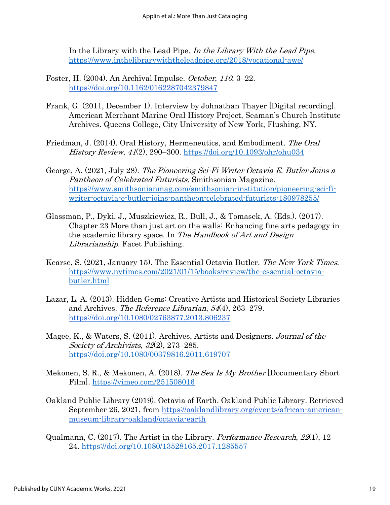[In the Library with the Lead Pipe.](https://www.zotero.org/google-docs/?VbYtl5) [In the Library With the Lead Pipe](https://www.zotero.org/google-docs/?VbYtl5). <https://www.inthelibrarywiththeleadpipe.org/2018/vocational-awe/>

- Foster, H. (2004). An Archival Impulse. October, 110, 3–22. <https://doi.org/10.1162/0162287042379847>
- Frank, G. (2011, December 1). Interview by Johnathan Thayer [Digital recording]. American Merchant Marine Oral History Project, Seaman's Church Institute Archives. Queens College, City University of New York, Flushing, NY.
- [Friedman, J. \(2014\). Oral History, Hermeneutics, and Embodiment.](https://www.zotero.org/google-docs/?VbYtl5) [The Oral](https://www.zotero.org/google-docs/?VbYtl5)  [History Review](https://www.zotero.org/google-docs/?VbYtl5)[,](https://www.zotero.org/google-docs/?VbYtl5) [41](https://www.zotero.org/google-docs/?VbYtl5)(2), 290–300.<https://doi.org/10.1093/ohr/ohu034>
- [George, A. \(2021, July 28\).](https://www.zotero.org/google-docs/?VbYtl5) [The Pioneering Sci-Fi Writer Octavia E. Butler Joins a](https://www.zotero.org/google-docs/?VbYtl5)  [Pantheon of Celebrated Futurists](https://www.zotero.org/google-docs/?VbYtl5). Smithsonian Magazine. [https://www.smithsonianmag.com/smithsonian-institution/pioneering-sci-fi](https://www.smithsonianmag.com/smithsonian-institution/pioneering-sci-fi-writer-octavia-e-butler-joins-pantheon-celebrated-futurists-180978255/)[writer-octavia-e-butler-joins-pantheon-celebrated-futurists-180978255/](https://www.smithsonianmag.com/smithsonian-institution/pioneering-sci-fi-writer-octavia-e-butler-joins-pantheon-celebrated-futurists-180978255/)
- Glassman, P., Dyki, J., Muszkiewicz, R., Bull, J., & Tomasek, A. (Eds.). (2017). Chapter 23 More than just art on the walls: Enhancing fine arts pedagogy in the academic library space. In The Handbook of Art and Design Librarianship. Facet Publishing.
- [Kearse, S. \(2021, January 15\). The Essential Octavia Butler.](https://www.zotero.org/google-docs/?VbYtl5) [The New York Times](https://www.zotero.org/google-docs/?VbYtl5)[.](https://www.zotero.org/google-docs/?VbYtl5)  [https://www.nytimes.com/2021/01/15/books/review/the-essential-octavia](https://www.nytimes.com/2021/01/15/books/review/the-essential-octavia-butler.html)[butler.html](https://www.nytimes.com/2021/01/15/books/review/the-essential-octavia-butler.html)
- Lazar, L. A. (2013). Hidden Gems: Creative Artists and Historical Society Libraries and Archives. The Reference Librarian, 54(4), 263–279[.](https://doi.org/10.1080/02763877.2013.806237) <https://doi.org/10.1080/02763877.2013.806237>
- [Magee, K., & Waters, S. \(2011\). Archives, Artists and Designers.](https://www.zotero.org/google-docs/?VbYtl5) [Journal of the](https://www.zotero.org/google-docs/?VbYtl5)  [Society of Archivists](https://www.zotero.org/google-docs/?VbYtl5)[,](https://www.zotero.org/google-docs/?VbYtl5) [32](https://www.zotero.org/google-docs/?VbYtl5)(2), 273–285. <https://doi.org/10.1080/00379816.2011.619707>
- [Mekonen, S. R., & Mekonen, A. \(2018\).](https://www.zotero.org/google-docs/?VbYtl5) [The Sea Is My Brother](https://www.zotero.org/google-docs/?VbYtl5) [\[Documentary Short](https://www.zotero.org/google-docs/?VbYtl5)  [Film\].](https://www.zotero.org/google-docs/?VbYtl5) <https://vimeo.com/251508016>
- Oakland Public Library (2019). Octavia of Earth. Oakland Public Library. Retrieved September 26, 2021, from [https://oaklandlibrary.org/events/african-american](https://oaklandlibrary.org/events/african-american-museum-library-oakland/octavia-earth)[museum-library-oakland/octavia-earth](https://oaklandlibrary.org/events/african-american-museum-library-oakland/octavia-earth)
- [Qualmann, C. \(2017\). The Artist in the Library.](https://www.zotero.org/google-docs/?VbYtl5) *[Performance Research](https://www.zotero.org/google-docs/?VbYtl5)*[,](https://www.zotero.org/google-docs/?VbYtl5)  $22(1)$  $22(1)$ , 12– 24.<https://doi.org/10.1080/13528165.2017.1285557>